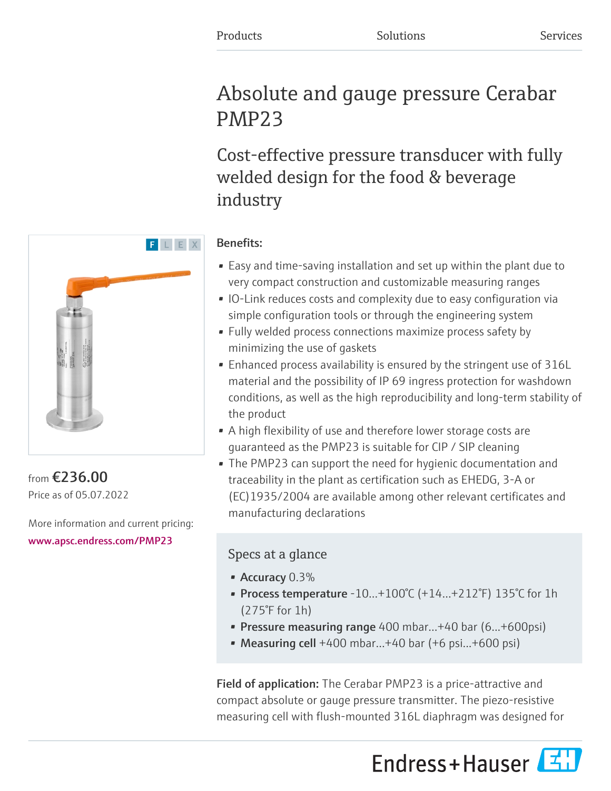# Absolute and gauge pressure Cerabar PMP23

Cost-effective pressure transducer with fully welded design for the food & beverage industry

## Benefits:

- Easy and time-saving installation and set up within the plant due to very compact construction and customizable measuring ranges
- IO-Link reduces costs and complexity due to easy configuration via simple configuration tools or through the engineering system
- Fully welded process connections maximize process safety by minimizing the use of gaskets
- Enhanced process availability is ensured by the stringent use of 316L material and the possibility of IP 69 ingress protection for washdown conditions, as well as the high reproducibility and long-term stability of the product
- A high flexibility of use and therefore lower storage costs are guaranteed as the PMP23 is suitable for CIP / SIP cleaning
- The PMP23 can support the need for hygienic documentation and traceability in the plant as certification such as EHEDG, 3-A or (EC)1935/2004 are available among other relevant certificates and manufacturing declarations

## Specs at a glance

- Accuracy 0.3%
- Process temperature -10…+100°C (+14…+212°F) 135°C for 1h (275°F for 1h)
- Pressure measuring range 400 mbar…+40 bar (6...+600psi)
- Measuring cell  $+400$  mbar... $+40$  bar  $(+6$  psi... $+600$  psi)

Field of application: The Cerabar PMP23 is a price-attractive and compact absolute or gauge pressure transmitter. The piezo-resistive measuring cell with flush-mounted 316L diaphragm was designed for





from €236.00 Price as of 05.07.2022

More information and current pricing: [www.apsc.endress.com/PMP23](https://www.apsc.endress.com/PMP23)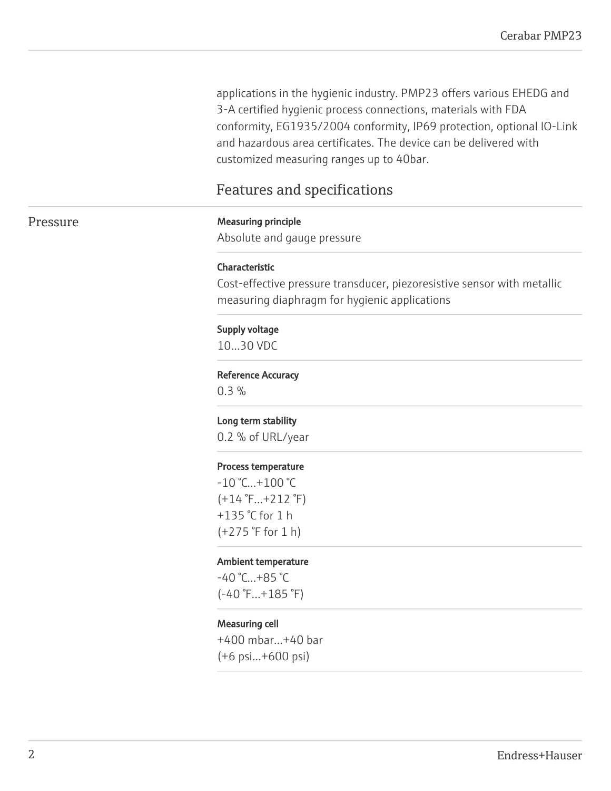applications in the hygienic industry. PMP23 offers various EHEDG and 3-A certified hygienic process connections, materials with FDA conformity, EG1935/2004 conformity, IP69 protection, optional IO-Link and hazardous area certificates. The device can be delivered with customized measuring ranges up to 40bar.

## Features and specifications

#### Pressure Measuring principle

Absolute and gauge pressure

#### Characteristic

Cost-effective pressure transducer, piezoresistive sensor with metallic measuring diaphragm for hygienic applications

#### Supply voltage

10…30 VDC

#### Reference Accuracy

0.3 %

#### Long term stability

0.2 % of URL/year

#### Process temperature

 $-10$  °C... $+100$  °C  $(+14 \degree F...+212 \degree F)$ +135 °C for 1 h (+275 °F for 1 h)

#### Ambient temperature

-40 °C…+85 °C  $(-40 \degree F...+185 \degree F)$ 

#### Measuring cell

+400 mbar…+40 bar (+6 psi...+600 psi)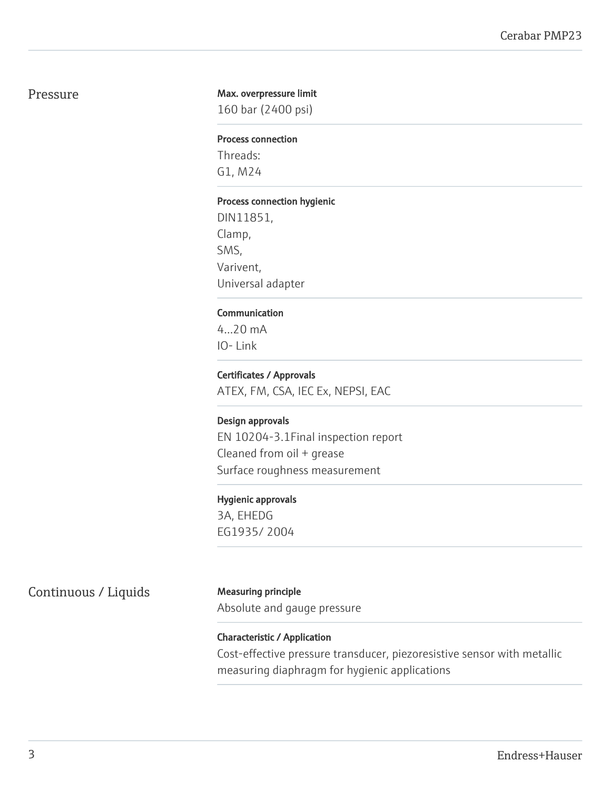### Pressure

#### Max. overpressure limit

160 bar (2400 psi)

#### Process connection

Threads: G1, M24

#### Process connection hygienic

DIN11851, Clamp, SMS, Varivent, Universal adapter

#### Communication

4...20 mA IO- Link

#### Certificates / Approvals

ATEX, FM, CSA, IEC Ex, NEPSI, EAC

#### Design approvals

EN 10204-3.1Final inspection report Cleaned from oil + grease Surface roughness measurement

#### Hygienic approvals

3A, EHEDG EG1935/ 2004

Continuous / Liquids Measuring principle

Absolute and gauge pressure

## Characteristic / Application

Cost-effective pressure transducer, piezoresistive sensor with metallic measuring diaphragm for hygienic applications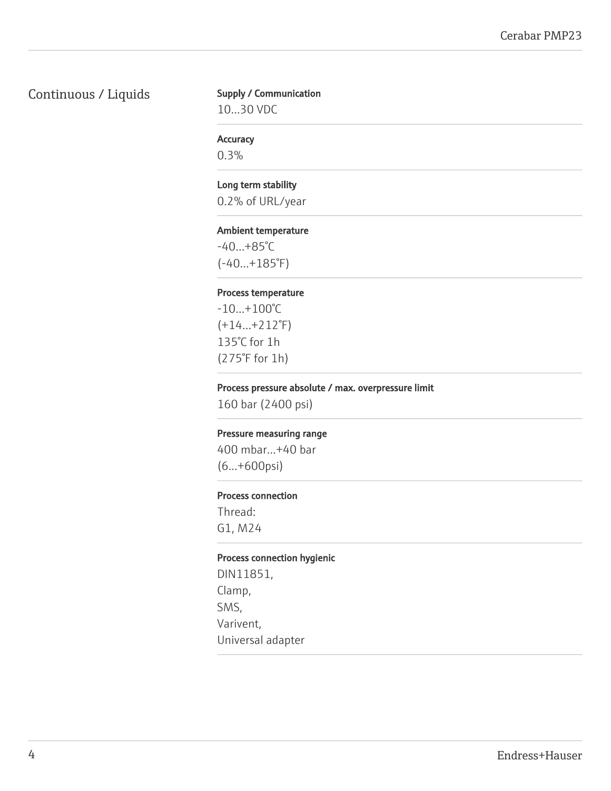## Continuous / Liquids

#### Supply / Communication

10…30 VDC

#### **Accuracy**

0.3%

#### Long term stability

0.2% of URL/year

#### Ambient temperature

-40…+85°C (-40…+185°F)

#### Process temperature

-10…+100°C (+14…+212°F) 135°C for 1h (275°F for 1h)

#### Process pressure absolute / max. overpressure limit

160 bar (2400 psi)

#### Pressure measuring range

400 mbar…+40 bar (6...+600psi)

#### Process connection

Thread: G1, M24

#### Process connection hygienic

DIN11851, Clamp, SMS, Varivent, Universal adapter